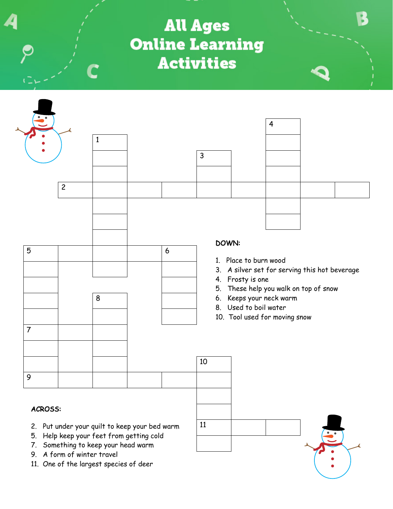**All Ages Online Learning Activities** 



11

## ACROSS:

- 2. Put under your quilt to keep your bed warm
- 5. Help keep your feet from getting cold
- 7. Something to keep your head warm
- 9. A form of winter travel
- 11. One of the largest species of deer